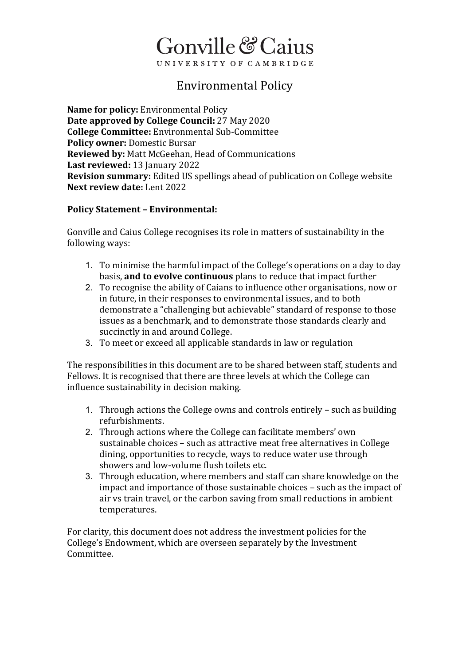## Gonville & Caius UNIVERSITY OF CAMBRIDGE

### Environmental Policy

**Name for policy:** Environmental Policy **Date approved by College Council:** 27 May 2020 **College Committee:** Environmental Sub-Committee **Policy owner:** Domestic Bursar **Reviewed by:** Matt McGeehan, Head of Communications **Last reviewed:** 13 January 2022 **Revision summary:** Edited US spellings ahead of publication on College website **Next review date:** Lent 2022

#### **Policy Statement – Environmental:**

Gonville and Caius College recognises its role in matters of sustainability in the following ways:

- 1. To minimise the harmful impact of the College's operations on a day to day basis, **and to evolve continuous** plans to reduce that impact further
- 2. To recognise the ability of Caians to influence other organisations, now or in future, in their responses to environmental issues, and to both demonstrate a "challenging but achievable" standard of response to those issues as a benchmark, and to demonstrate those standards clearly and succinctly in and around College.
- 3. To meet or exceed all applicable standards in law or regulation

The responsibilities in this document are to be shared between staff, students and Fellows. It is recognised that there are three levels at which the College can influence sustainability in decision making.

- 1. Through actions the College owns and controls entirely such as building refurbishments.
- 2. Through actions where the College can facilitate members' own sustainable choices – such as attractive meat free alternatives in College dining, opportunities to recycle, ways to reduce water use through showers and low-volume flush toilets etc.
- 3. Through education, where members and staff can share knowledge on the impact and importance of those sustainable choices – such as the impact of air vs train travel, or the carbon saving from small reductions in ambient temperatures.

For clarity, this document does not address the investment policies for the College's Endowment, which are overseen separately by the Investment Committee.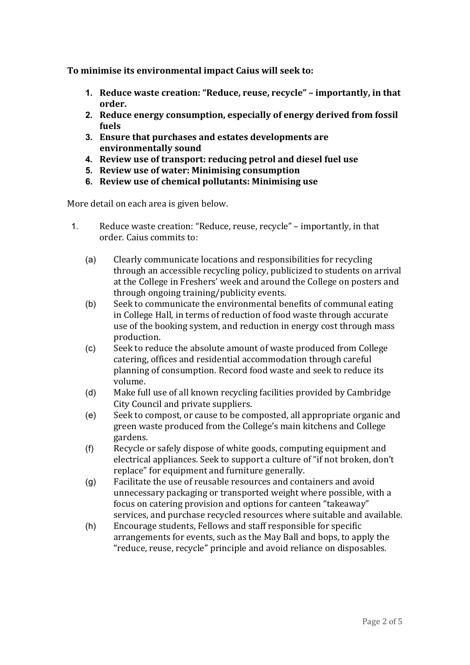**To minimise its environmental impact Caius will seek to:**

- **1. Reduce waste creation: "Reduce, reuse, recycle" – importantly, in that order.**
- **2. Reduce energy consumption, especially of energy derived from fossil fuels**
- **3. Ensure that purchases and estates developments are environmentally sound**
- **4. Review use of transport: reducing petrol and diesel fuel use**
- **5. Review use of water: Minimising consumption**
- **6. Review use of chemical pollutants: Minimising use**

More detail on each area is given below.

- 1. Reduce waste creation: "Reduce, reuse, recycle" importantly, in that order. Caius commits to:
	- (a) Clearly communicate locations and responsibilities for recycling through an accessible recycling policy, publicized to students on arrival at the College in Freshers' week and around the College on posters and through ongoing training/publicity events.
	- (b) Seek to communicate the environmental benefits of communal eating in College Hall, in terms of reduction of food waste through accurate use of the booking system, and reduction in energy cost through mass production.
	- (c) Seek to reduce the absolute amount of waste produced from College catering, offices and residential accommodation through careful planning of consumption. Record food waste and seek to reduce its volume.
	- (d) Make full use of all known recycling facilities provided by Cambridge City Council and private suppliers.
	- (e) Seek to compost, or cause to be composted, all appropriate organic and green waste produced from the College's main kitchens and College gardens.
	- (f) Recycle or safely dispose of white goods, computing equipment and electrical appliances. Seek to support a culture of "if not broken, don't replace" for equipment and furniture generally.
	- (g) Facilitate the use of reusable resources and containers and avoid unnecessary packaging or transported weight where possible, with a focus on catering provision and options for canteen "takeaway" services, and purchase recycled resources where suitable and available.
	- (h) Encourage students, Fellows and staff responsible for specific arrangements for events, such as the May Ball and bops, to apply the "reduce, reuse, recycle" principle and avoid reliance on disposables.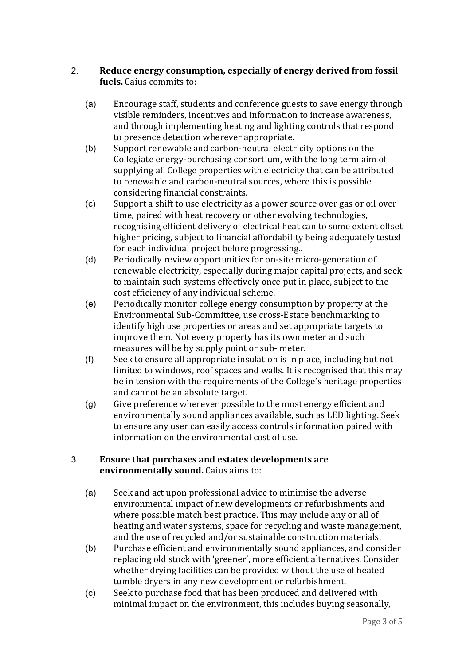#### 2. **Reduce energy consumption, especially of energy derived from fossil fuels.** Caius commits to:

- (a) Encourage staff, students and conference guests to save energy through visible reminders, incentives and information to increase awareness, and through implementing heating and lighting controls that respond to presence detection wherever appropriate.
- (b) Support renewable and carbon-neutral electricity options on the Collegiate energy-purchasing consortium, with the long term aim of supplying all College properties with electricity that can be attributed to renewable and carbon-neutral sources, where this is possible considering financial constraints.
- (c) Support a shift to use electricity as a power source over gas or oil over time, paired with heat recovery or other evolving technologies, recognising efficient delivery of electrical heat can to some extent offset higher pricing, subject to financial affordability being adequately tested for each individual project before progressing..
- (d) Periodically review opportunities for on-site micro-generation of renewable electricity, especially during major capital projects, and seek to maintain such systems effectively once put in place, subject to the cost efficiency of any individual scheme.
- (e) Periodically monitor college energy consumption by property at the Environmental Sub-Committee, use cross-Estate benchmarking to identify high use properties or areas and set appropriate targets to improve them. Not every property has its own meter and such measures will be by supply point or sub- meter.
- (f) Seek to ensure all appropriate insulation is in place, including but not limited to windows, roof spaces and walls. It is recognised that this may be in tension with the requirements of the College's heritage properties and cannot be an absolute target.
- (g) Give preference wherever possible to the most energy efficient and environmentally sound appliances available, such as LED lighting. Seek to ensure any user can easily access controls information paired with information on the environmental cost of use.

#### 3. **Ensure that purchases and estates developments are environmentally sound.** Caius aims to:

- (a) Seek and act upon professional advice to minimise the adverse environmental impact of new developments or refurbishments and where possible match best practice. This may include any or all of heating and water systems, space for recycling and waste management, and the use of recycled and/or sustainable construction materials.
- (b) Purchase efficient and environmentally sound appliances, and consider replacing old stock with 'greener', more efficient alternatives. Consider whether drying facilities can be provided without the use of heated tumble dryers in any new development or refurbishment.
- (c) Seek to purchase food that has been produced and delivered with minimal impact on the environment, this includes buying seasonally,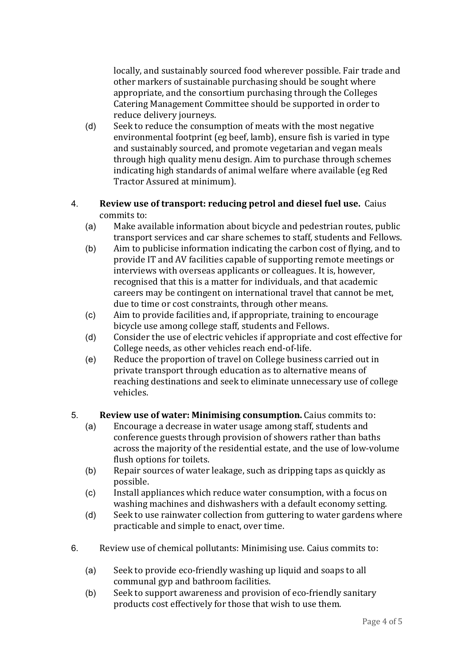locally, and sustainably sourced food wherever possible. Fair trade and other markers of sustainable purchasing should be sought where appropriate, and the consortium purchasing through the Colleges Catering Management Committee should be supported in order to reduce delivery journeys.

- (d) Seek to reduce the consumption of meats with the most negative environmental footprint (eg beef, lamb), ensure fish is varied in type and sustainably sourced, and promote vegetarian and vegan meals through high quality menu design. Aim to purchase through schemes indicating high standards of animal welfare where available (eg Red Tractor Assured at minimum).
- 4. **Review use of transport: reducing petrol and diesel fuel use.** Caius commits to:
	- (a) Make available information about bicycle and pedestrian routes, public transport services and car share schemes to staff, students and Fellows.
	- (b) Aim to publicise information indicating the carbon cost of flying, and to provide IT and AV facilities capable of supporting remote meetings or interviews with overseas applicants or colleagues. It is, however, recognised that this is a matter for individuals, and that academic careers may be contingent on international travel that cannot be met, due to time or cost constraints, through other means.
	- (c) Aim to provide facilities and, if appropriate, training to encourage bicycle use among college staff, students and Fellows.
	- (d) Consider the use of electric vehicles if appropriate and cost effective for College needs, as other vehicles reach end-of-life.
	- (e) Reduce the proportion of travel on College business carried out in private transport through education as to alternative means of reaching destinations and seek to eliminate unnecessary use of college vehicles.

# 5. **Review use of water: Minimising consumption.** Caius commits to:

- Encourage a decrease in water usage among staff, students and conference guests through provision of showers rather than baths across the majority of the residential estate, and the use of low-volume flush options for toilets.
- (b) Repair sources of water leakage, such as dripping taps as quickly as possible.
- (c) Install appliances which reduce water consumption, with a focus on washing machines and dishwashers with a default economy setting.
- (d) Seek to use rainwater collection from guttering to water gardens where practicable and simple to enact, over time.
- 6. Review use of chemical pollutants: Minimising use. Caius commits to:
	- (a) Seek to provide eco-friendly washing up liquid and soaps to all communal gyp and bathroom facilities.
	- (b) Seek to support awareness and provision of eco-friendly sanitary products cost effectively for those that wish to use them.